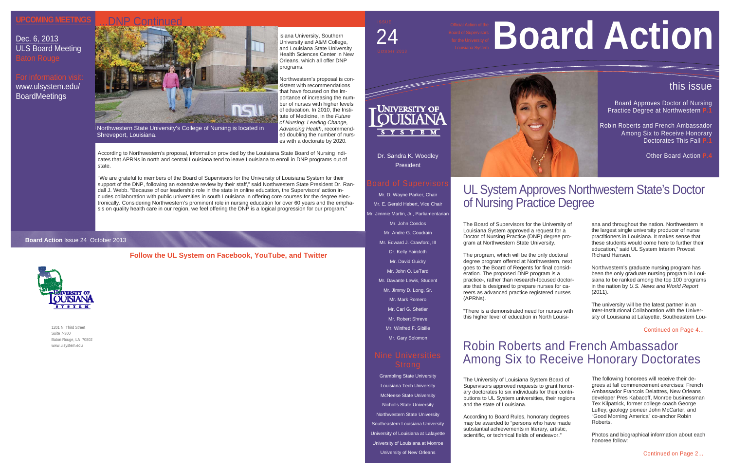# UL System Approves Northwestern State's Doctor of Nursing Practice Degree

1201 N. Third Street Suite 7-300 Baton Rouge, LA 70802 www.ulsystem.edu

Dr. Sandra K. Woodley President

Mr. D. Wayne Parker, Chair Mr. E. Gerald Hebert, Vice Chair Mr. Jimmie Martin, Jr., Parliamentarian Mr. John Condos Mr. Andre G. Coudrain Mr. Edward J. Crawford, III Dr. Kelly Faircloth Mr. David Guidry Mr. John O. LeTard Mr. Davante Lewis, Student Mr. Jimmy D. Long, Sr. Mr. Mark Romero Mr. Carl G. Shetler Mr. Robert Shreve Mr. Winfred F. Sibille Mr. Gary Solomon

# Nine Universities

Board Approves Doctor of Nursing **Practice Degree at Northwestern** 

Grambling State University Louisiana Tech University McNeese State University Nicholls State University Northwestern State University Southeastern Louisiana University University of Louisiana at Lafayette University of Louisiana at Monroe University of New Orleans

Robin Roberts and French Ambassador Among Six to Receive Honorary **Doctorates This Fall** 

**Other Board Action I** 

# 24





#### **Board Action** Issue 24 October 2013



The Board of Supervisors for the University of Louisiana System approved a request for a Doctor of Nursing Practice (DNP) degree program at Northwestern State University.

The program, which will be the only doctoral degree program offered at Northwestern, next goes to the Board of Regents for final consideration. The proposed DNP program is a practice-, rather than research-focused doctorate that is designed to prepare nurses for careers as advanced practice registered nurses (APRNs).

"There is a demonstrated need for nurses with this higher level of education in North Louisi-

#### **Follow the UL System on Facebook, YouTube, and Twitter**

# this issue

ana and throughout the nation. Northwestern is the largest single university producer of nurse practitioners in Louisiana. It makes sense that these students would come here to further their education," said UL System Interim Provost Richard Hansen.

Northwestern's graduate nursing program has been the only graduate nursing program in Louisiana to be ranked among the top 100 programs in the nation by *U.S. News and World Report*  (2011).

The university will be the latest partner in an Inter-Institutional Collaboration with the University of Louisiana at Lafayette, Southeastern Lou-

# Robin Roberts and French Ambassador Among Six to Receive Honorary Doctorates

The University of Louisiana System Board of Supervisors approved requests to grant honorary doctorates to six individuals for their contributions to UL System universities, their regions and the state of Louisiana.

According to Board Rules, honorary degrees may be awarded to "persons who have made substantial achievements in literary, artistic, scientific, or technical fields of endeavor."

# **Board Action**



The following honorees will receive their degrees at fall commencement exercises: French Ambassador Francois Delattres, New Orleans developer Pres Kabacoff, Monroe businessman Tex Kilpatrick, former college coach George Luffey, geology pioneer John McCarter, and "Good Morning America" co-anchor Robin Roberts.

Photos and biographical information about each honoree follow:

Continued on Page 4...

### **UPCOMING MEETINGS**

Dec. 6, 2013 ULS Board Meeting Baton Rouge

# For information visit: www.ulsystem.edu/ BoardMeetings

isiana University, Southern University and A&M College, and Louisiana State University Health Sciences Center in New Orleans, which all offer DNP programs.

Northwestern's proposal is consistent with recommendations that have focused on the importance of increasing the number of nurses with higher levels of education. In 2010, the Institute of Medicine, in the *Future of Nursing: Leading Change, Advancing Health*, recommended doubling the number of nurses with a doctorate by 2020.

According to Northwestern's proposal, information provided by the Louisiana State Board of Nursing indicates that APRNs in north and central Louisiana tend to leave Louisiana to enroll in DNP programs out of state.

"We are grateful to members of the Board of Supervisors for the University of Louisiana System for their support of the DNP, following an extensive review by their staff," said Northwestern State President Dr. Randall J. Webb. "Because of our leadership role in the state in online education, the Supervisors' action includes collaboration with public universities in south Louisiana in offering core courses for the degree electronically. Considering Northwestern's prominent role in nursing education for over 60 years and the emphasis on quality health care in our region, we feel offering the DNP is a logical progression for our program."



Northwestern State University's College of Nursing is located in Shreveport, Louisiana.